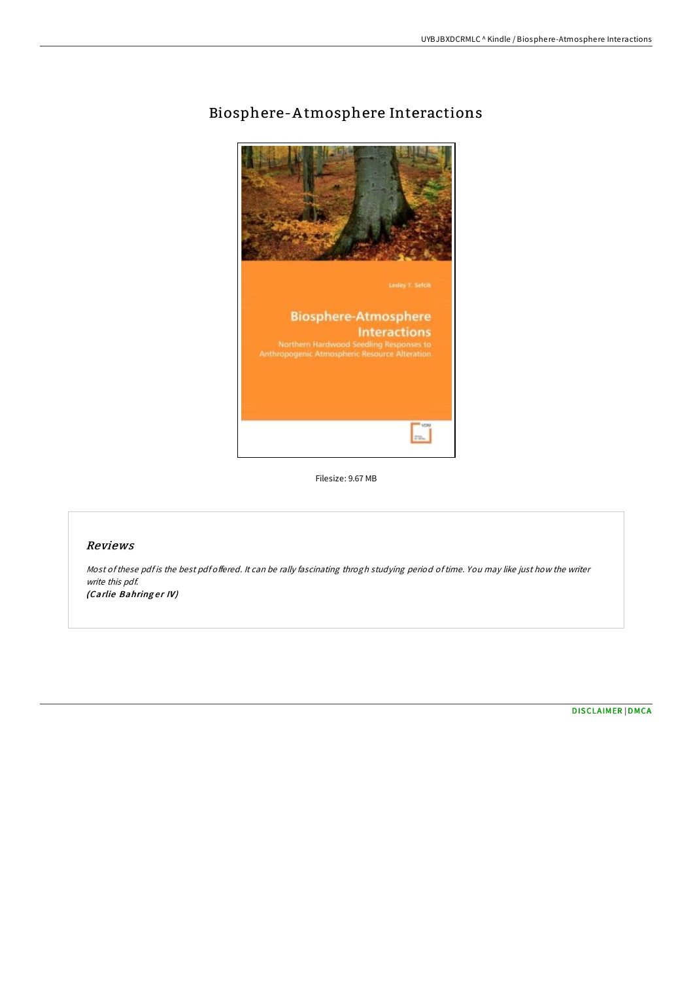

# Biosphere-A tmosphere Interactions

Filesize: 9.67 MB

## Reviews

Most of these pdf is the best pdf offered. It can be rally fascinating throgh studying period of time. You may like just how the writer write this pdf. (Carlie Bahringer IV)

[DISCLAIMER](http://almighty24.tech/disclaimer.html) | [DMCA](http://almighty24.tech/dmca.html)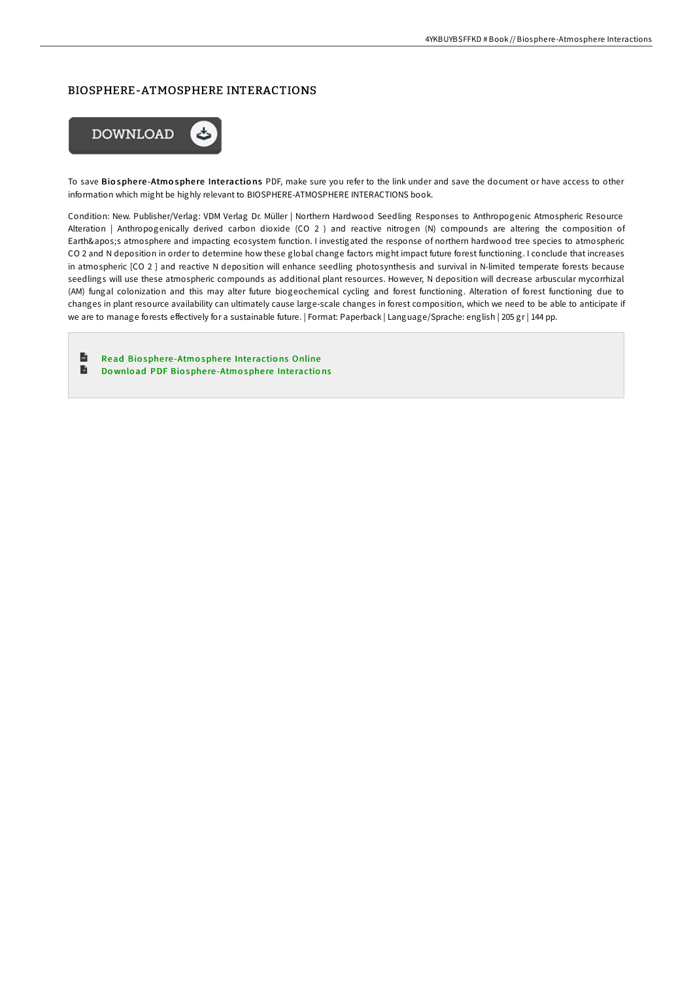## BIOSPHERE-ATMOSPHERE INTERACTIONS



To save Biosphere-Atmosphere Interactions PDF, make sure you refer to the link under and save the document or have access to other information which might be highly relevant to BIOSPHERE-ATMOSPHERE INTERACTIONS book.

Condition: New. Publisher/Verlag: VDM Verlag Dr. Müller | Northern Hardwood Seedling Responses to Anthropogenic Atmospheric Resource Alteration | Anthropogenically derived carbon dioxide (CO 2 ) and reactive nitrogen (N) compounds are altering the composition of Earth's atmosphere and impacting ecosystem function. I investigated the response of northern hardwood tree species to atmospheric CO 2 and N deposition in order to determine how these global change factors might impact future forest functioning. I conclude that increases in atmospheric [CO 2 ] and reactive N deposition will enhance seedling photosynthesis and survival in N-limited temperate forests because seedlings will use these atmospheric compounds as additional plant resources. However, N deposition will decrease arbuscular mycorrhizal (AM) fungal colonization and this may alter future biogeochemical cycling and forest functioning. Alteration of forest functioning due to changes in plant resource availability can ultimately cause large-scale changes in forest composition, which we need to be able to anticipate if we are to manage forests effectively for a sustainable future. | Format: Paperback | Language/Sprache: english | 205 gr | 144 pp.

 $\mathbf{r}$ Read Biosphere-Atmosphere Interactions [Online](http://almighty24.tech/biosphere-atmosphere-interactions.html) Đ Download PDF Biosphere[-Atmo](http://almighty24.tech/biosphere-atmosphere-interactions.html)sphere Interactions